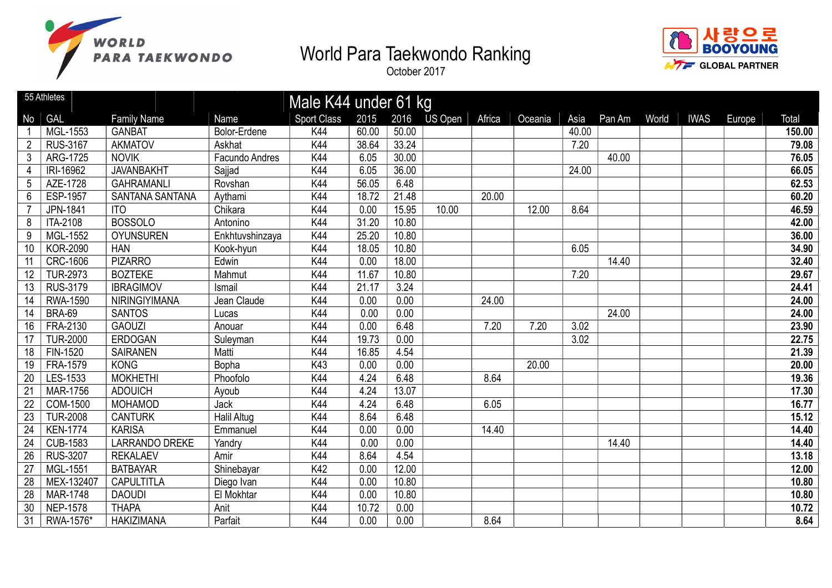





|                 | 55 Athletes     |                        |                    | Male K44 under 61 kg |       |       |         |        |         |       |        |       |             |        |        |
|-----------------|-----------------|------------------------|--------------------|----------------------|-------|-------|---------|--------|---------|-------|--------|-------|-------------|--------|--------|
| No              | <b>GAL</b>      | <b>Family Name</b>     | Name               | <b>Sport Class</b>   | 2015  | 2016  | US Open | Africa | Oceania | Asia  | Pan Am | World | <b>IWAS</b> | Europe | Total  |
|                 | MGL-1553        | <b>GANBAT</b>          | Bolor-Erdene       | K44                  | 60.00 | 50.00 |         |        |         | 40.00 |        |       |             |        | 150.00 |
| $\overline{2}$  | <b>RUS-3167</b> | <b>AKMATOV</b>         | Askhat             | K44                  | 38.64 | 33.24 |         |        |         | 7.20  |        |       |             |        | 79.08  |
| 3               | ARG-1725        | <b>NOVIK</b>           | Facundo Andres     | K44                  | 6.05  | 30.00 |         |        |         |       | 40.00  |       |             |        | 76.05  |
| $\overline{4}$  | IRI-16962       | <b>JAVANBAKHT</b>      | Sajjad             | K44                  | 6.05  | 36.00 |         |        |         | 24.00 |        |       |             |        | 66.05  |
| $5\phantom{.0}$ | AZE-1728        | <b>GAHRAMANLI</b>      | Rovshan            | K44                  | 56.05 | 6.48  |         |        |         |       |        |       |             |        | 62.53  |
| $6\phantom{.}$  | <b>ESP-1957</b> | <b>SANTANA SANTANA</b> | Aythami            | K44                  | 18.72 | 21.48 |         | 20.00  |         |       |        |       |             |        | 60.20  |
| 7               | JPN-1841        | <b>ITO</b>             | Chikara            | K44                  | 0.00  | 15.95 | 10.00   |        | 12.00   | 8.64  |        |       |             |        | 46.59  |
| 8               | ITA-2108        | <b>BOSSOLO</b>         | Antonino           | K44                  | 31.20 | 10.80 |         |        |         |       |        |       |             |        | 42.00  |
| 9               | MGL-1552        | <b>OYUNSUREN</b>       | Enkhtuvshinzaya    | K44                  | 25.20 | 10.80 |         |        |         |       |        |       |             |        | 36.00  |
| 10              | <b>KOR-2090</b> | <b>HAN</b>             | Kook-hyun          | K44                  | 18.05 | 10.80 |         |        |         | 6.05  |        |       |             |        | 34.90  |
| 11              | <b>CRC-1606</b> | <b>PIZARRO</b>         | Edwin              | K44                  | 0.00  | 18.00 |         |        |         |       | 14.40  |       |             |        | 32.40  |
| 12              | <b>TUR-2973</b> | <b>BOZTEKE</b>         | Mahmut             | K44                  | 11.67 | 10.80 |         |        |         | 7.20  |        |       |             |        | 29.67  |
| 13              | <b>RUS-3179</b> | <b>IBRAGIMOV</b>       | Ismail             | K44                  | 21.17 | 3.24  |         |        |         |       |        |       |             |        | 24.41  |
| 14              | <b>RWA-1590</b> | NIRINGIYIMANA          | Jean Claude        | K44                  | 0.00  | 0.00  |         | 24.00  |         |       |        |       |             |        | 24.00  |
| 14              | <b>BRA-69</b>   | <b>SANTOS</b>          | Lucas              | K44                  | 0.00  | 0.00  |         |        |         |       | 24.00  |       |             |        | 24.00  |
| 16              | FRA-2130        | <b>GAOUZI</b>          | Anouar             | K44                  | 0.00  | 6.48  |         | 7.20   | 7.20    | 3.02  |        |       |             |        | 23.90  |
| 17              | <b>TUR-2000</b> | <b>ERDOGAN</b>         | Suleyman           | K44                  | 19.73 | 0.00  |         |        |         | 3.02  |        |       |             |        | 22.75  |
| 18              | FIN-1520        | <b>SAIRANEN</b>        | Matti              | K44                  | 16.85 | 4.54  |         |        |         |       |        |       |             |        | 21.39  |
| $\overline{19}$ | FRA-1579        | <b>KONG</b>            | Bopha              | K43                  | 0.00  | 0.00  |         |        | 20.00   |       |        |       |             |        | 20.00  |
| $\overline{20}$ | LES-1533        | <b>MOKHETHI</b>        | Phoofolo           | K44                  | 4.24  | 6.48  |         | 8.64   |         |       |        |       |             |        | 19.36  |
| $\overline{21}$ | <b>MAR-1756</b> | <b>ADOUICH</b>         | Ayoub              | K44                  | 4.24  | 13.07 |         |        |         |       |        |       |             |        | 17.30  |
| 22              | COM-1500        | <b>MOHAMOD</b>         | Jack               | K44                  | 4.24  | 6.48  |         | 6.05   |         |       |        |       |             |        | 16.77  |
| 23              | <b>TUR-2008</b> | <b>CANTURK</b>         | <b>Halil Altug</b> | K44                  | 8.64  | 6.48  |         |        |         |       |        |       |             |        | 15.12  |
| 24              | <b>KEN-1774</b> | <b>KARISA</b>          | Emmanuel           | K44                  | 0.00  | 0.00  |         | 14.40  |         |       |        |       |             |        | 14.40  |
| 24              | <b>CUB-1583</b> | <b>LARRANDO DREKE</b>  | Yandry             | K44                  | 0.00  | 0.00  |         |        |         |       | 14.40  |       |             |        | 14.40  |
| 26              | <b>RUS-3207</b> | <b>REKALAEV</b>        | Amir               | K44                  | 8.64  | 4.54  |         |        |         |       |        |       |             |        | 13.18  |
| 27              | MGL-1551        | <b>BATBAYAR</b>        | Shinebayar         | K42                  | 0.00  | 12.00 |         |        |         |       |        |       |             |        | 12.00  |
| $\overline{28}$ | MEX-132407      | CAPULTITLA             | Diego Ivan         | K44                  | 0.00  | 10.80 |         |        |         |       |        |       |             |        | 10.80  |
| $\overline{28}$ | <b>MAR-1748</b> | <b>DAOUDI</b>          | El Mokhtar         | K44                  | 0.00  | 10.80 |         |        |         |       |        |       |             |        | 10.80  |
| $\overline{30}$ | <b>NEP-1578</b> | <b>THAPA</b>           | Anit               | K44                  | 10.72 | 0.00  |         |        |         |       |        |       |             |        | 10.72  |
| 31              | RWA-1576*       | <b>HAKIZIMANA</b>      | Parfait            | K44                  | 0.00  | 0.00  |         | 8.64   |         |       |        |       |             |        | 8.64   |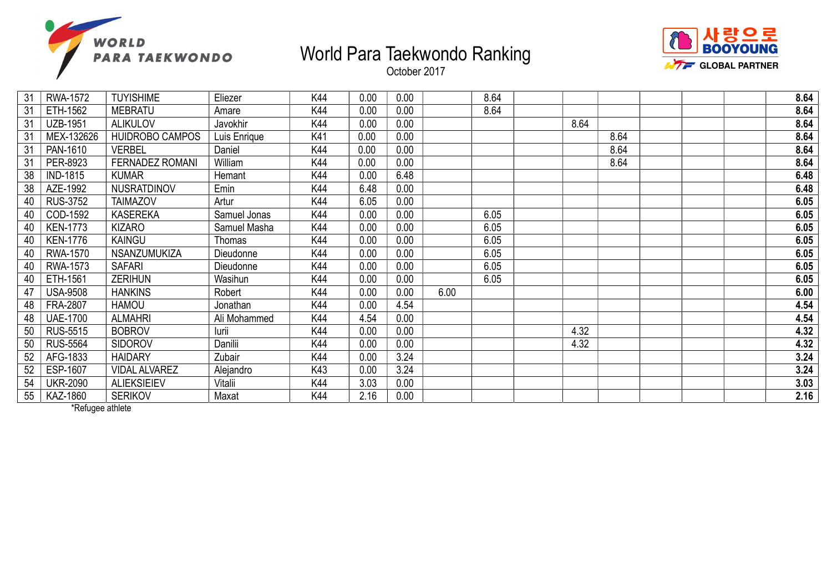



October 2017

| 31 | RWA-1572        | <b>TUYISHIME</b>       | Eliezer      | K44 | 0.00 | 0.00 |      | 8.64 |      |      | 8.64 |
|----|-----------------|------------------------|--------------|-----|------|------|------|------|------|------|------|
| 31 | ETH-1562        | <b>MEBRATU</b>         | Amare        | K44 | 0.00 | 0.00 |      | 8.64 |      |      | 8.64 |
| 31 | <b>UZB-1951</b> | <b>ALIKULOV</b>        | Javokhir     | K44 | 0.00 | 0.00 |      |      | 8.64 |      | 8.64 |
| 31 | MEX-132626      | <b>HUIDROBO CAMPOS</b> | Luis Enrique | K41 | 0.00 | 0.00 |      |      |      | 8.64 | 8.64 |
| 31 | PAN-1610        | <b>VERBEL</b>          | Daniel       | K44 | 0.00 | 0.00 |      |      |      | 8.64 | 8.64 |
| 31 | PER-8923        | <b>FERNADEZ ROMANI</b> | William      | K44 | 0.00 | 0.00 |      |      |      | 8.64 | 8.64 |
| 38 | <b>IND-1815</b> | <b>KUMAR</b>           | Hemant       | K44 | 0.00 | 6.48 |      |      |      |      | 6.48 |
| 38 | AZE-1992        | NUSRATDINOV            | Emin         | K44 | 6.48 | 0.00 |      |      |      |      | 6.48 |
| 40 | <b>RUS-3752</b> | <b>TAIMAZOV</b>        | Artur        | K44 | 6.05 | 0.00 |      |      |      |      | 6.05 |
| 40 | COD-1592        | <b>KASEREKA</b>        | Samuel Jonas | K44 | 0.00 | 0.00 |      | 6.05 |      |      | 6.05 |
| 40 | <b>KEN-1773</b> | <b>KIZARO</b>          | Samuel Masha | K44 | 0.00 | 0.00 |      | 6.05 |      |      | 6.05 |
| 40 | <b>KEN-1776</b> | <b>KAINGU</b>          | Thomas       | K44 | 0.00 | 0.00 |      | 6.05 |      |      | 6.05 |
| 40 | <b>RWA-1570</b> | <b>NSANZUMUKIZA</b>    | Dieudonne    | K44 | 0.00 | 0.00 |      | 6.05 |      |      | 6.05 |
| 40 | <b>RWA-1573</b> | <b>SAFARI</b>          | Dieudonne    | K44 | 0.00 | 0.00 |      | 6.05 |      |      | 6.05 |
| 40 | ETH-1561        | <b>ZERIHUN</b>         | Wasihun      | K44 | 0.00 | 0.00 |      | 6.05 |      |      | 6.05 |
| 47 | <b>USA-9508</b> | <b>HANKINS</b>         | Robert       | K44 | 0.00 | 0.00 | 6.00 |      |      |      | 6.00 |
| 48 | <b>FRA-2807</b> | <b>HAMOU</b>           | Jonathan     | K44 | 0.00 | 4.54 |      |      |      |      | 4.54 |
| 48 | <b>UAE-1700</b> | <b>ALMAHRI</b>         | Ali Mohammed | K44 | 4.54 | 0.00 |      |      |      |      | 4.54 |
| 50 | <b>RUS-5515</b> | <b>BOBROV</b>          | lurii        | K44 | 0.00 | 0.00 |      |      | 4.32 |      | 4.32 |
| 50 | <b>RUS-5564</b> | <b>SIDOROV</b>         | Danilii      | K44 | 0.00 | 0.00 |      |      | 4.32 |      | 4.32 |
| 52 | AFG-1833        | <b>HAIDARY</b>         | Zubair       | K44 | 0.00 | 3.24 |      |      |      |      | 3.24 |
| 52 | ESP-1607        | <b>VIDAL ALVAREZ</b>   | Alejandro    | K43 | 0.00 | 3.24 |      |      |      |      | 3.24 |
| 54 | <b>UKR-2090</b> | <b>ALIEKSIEIEV</b>     | Vitalii      | K44 | 3.03 | 0.00 |      |      |      |      | 3.03 |
| 55 | KAZ-1860        | <b>SERIKOV</b>         | Maxat        | K44 | 2.16 | 0.00 |      |      |      |      | 2.16 |

\*Refugee athlete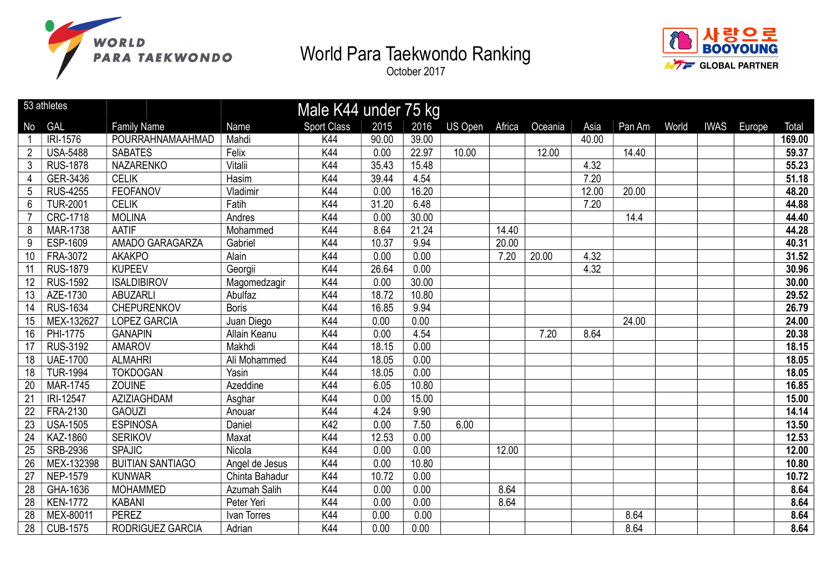



|                | 53 athletes     |                         |                | Male K44 under 75 kg |       |       |                |        |         |       |        |       |             |        |        |
|----------------|-----------------|-------------------------|----------------|----------------------|-------|-------|----------------|--------|---------|-------|--------|-------|-------------|--------|--------|
| No             | GAL             | <b>Family Name</b>      | Name           | <b>Sport Class</b>   | 2015  | 2016  | <b>US Open</b> | Africa | Oceania | Asia  | Pan Am | World | <b>IWAS</b> | Europe | Total  |
|                | IRI-1576        | POURRAHNAMAAHMAD        | Mahdi          | K44                  | 90.00 | 39.00 |                |        |         | 40.00 |        |       |             |        | 169.00 |
| $\overline{2}$ | <b>USA-5488</b> | <b>SABATES</b>          | Felix          | K44                  | 0.00  | 22.97 | 10.00          |        | 12.00   |       | 14.40  |       |             |        | 59.37  |
| 3              | <b>RUS-1878</b> | NAZARENKO               | Vitalii        | K44                  | 35.43 | 15.48 |                |        |         | 4.32  |        |       |             |        | 55.23  |
| $\overline{4}$ | GER-3436        | <b>CELIK</b>            | Hasim          | K44                  | 39.44 | 4.54  |                |        |         | 7.20  |        |       |             |        | 51.18  |
| 5              | <b>RUS-4255</b> | <b>FEOFANOV</b>         | Vladimir       | K44                  | 0.00  | 16.20 |                |        |         | 12.00 | 20.00  |       |             |        | 48.20  |
| 6              | <b>TUR-2001</b> | <b>CELIK</b>            | Fatih          | K44                  | 31.20 | 6.48  |                |        |         | 7.20  |        |       |             |        | 44.88  |
|                | CRC-1718        | <b>MOLINA</b>           | Andres         | K44                  | 0.00  | 30.00 |                |        |         |       | 14.4   |       |             |        | 44.40  |
| 8              | <b>MAR-1738</b> | <b>AATIF</b>            | Mohammed       | K44                  | 8.64  | 21.24 |                | 14.40  |         |       |        |       |             |        | 44.28  |
| $9\,$          | ESP-1609        | AMADO GARAGARZA         | Gabriel        | K44                  | 10.37 | 9.94  |                | 20.00  |         |       |        |       |             |        | 40.31  |
| 10             | FRA-3072        | <b>AKAKPO</b>           | Alain          | K44                  | 0.00  | 0.00  |                | 7.20   | 20.00   | 4.32  |        |       |             |        | 31.52  |
| 11             | <b>RUS-1879</b> | <b>KUPEEV</b>           | Georgii        | K44                  | 26.64 | 0.00  |                |        |         | 4.32  |        |       |             |        | 30.96  |
| 12             | <b>RUS-1592</b> | <b>ISALDIBIROV</b>      | Magomedzagir   | K44                  | 0.00  | 30.00 |                |        |         |       |        |       |             |        | 30.00  |
| 13             | AZE-1730        | <b>ABUZARLI</b>         | Abulfaz        | K44                  | 18.72 | 10.80 |                |        |         |       |        |       |             |        | 29.52  |
| 14             | <b>RUS-1634</b> | <b>CHEPURENKOV</b>      | <b>Boris</b>   | K44                  | 16.85 | 9.94  |                |        |         |       |        |       |             |        | 26.79  |
| 15             | MEX-132627      | <b>LOPEZ GARCIA</b>     | Juan Diego     | K44                  | 0.00  | 0.00  |                |        |         |       | 24.00  |       |             |        | 24.00  |
| 16             | PHI-1775        | <b>GANAPIN</b>          | Allain Keanu   | K44                  | 0.00  | 4.54  |                |        | 7.20    | 8.64  |        |       |             |        | 20.38  |
| 17             | <b>RUS-3192</b> | <b>AMAROV</b>           | Makhdi         | K44                  | 18.15 | 0.00  |                |        |         |       |        |       |             |        | 18.15  |
| 18             | <b>UAE-1700</b> | <b>ALMAHRI</b>          | Ali Mohammed   | K44                  | 18.05 | 0.00  |                |        |         |       |        |       |             |        | 18.05  |
| 18             | <b>TUR-1994</b> | <b>TOKDOGAN</b>         | Yasin          | K44                  | 18.05 | 0.00  |                |        |         |       |        |       |             |        | 18.05  |
| 20             | <b>MAR-1745</b> | <b>ZOUINE</b>           | Azeddine       | K44                  | 6.05  | 10.80 |                |        |         |       |        |       |             |        | 16.85  |
| 21             | IRI-12547       | AZIZIAGHDAM             | Asghar         | K44                  | 0.00  | 15.00 |                |        |         |       |        |       |             |        | 15.00  |
| 22             | FRA-2130        | <b>GAOUZI</b>           | Anouar         | K44                  | 4.24  | 9.90  |                |        |         |       |        |       |             |        | 14.14  |
| 23             | <b>USA-1505</b> | <b>ESPINOSA</b>         | Daniel         | K42                  | 0.00  | 7.50  | 6.00           |        |         |       |        |       |             |        | 13.50  |
| 24             | KAZ-1860        | <b>SERIKOV</b>          | Maxat          | K44                  | 12.53 | 0.00  |                |        |         |       |        |       |             |        | 12.53  |
| 25             | SRB-2936        | <b>SPAJIC</b>           | Nicola         | K44                  | 0.00  | 0.00  |                | 12.00  |         |       |        |       |             |        | 12.00  |
| 26             | MEX-132398      | <b>BUITIAN SANTIAGO</b> | Angel de Jesus | K44                  | 0.00  | 10.80 |                |        |         |       |        |       |             |        | 10.80  |
| 27             | <b>NEP-1579</b> | <b>KUNWAR</b>           | Chinta Bahadur | K44                  | 10.72 | 0.00  |                |        |         |       |        |       |             |        | 10.72  |
| 28             | GHA-1636        | <b>MOHAMMED</b>         | Azumah Salih   | K44                  | 0.00  | 0.00  |                | 8.64   |         |       |        |       |             |        | 8.64   |
| 28             | <b>KEN-1772</b> | <b>KABANI</b>           | Peter Yeri     | K44                  | 0.00  | 0.00  |                | 8.64   |         |       |        |       |             |        | 8.64   |
| 28             | MEX-80011       | <b>PEREZ</b>            | Ivan Torres    | K44                  | 0.00  | 0.00  |                |        |         |       | 8.64   |       |             |        | 8.64   |
| 28             | <b>CUB-1575</b> | RODRIGUEZ GARCIA        | Adrian         | K44                  | 0.00  | 0.00  |                |        |         |       | 8.64   |       |             |        | 8.64   |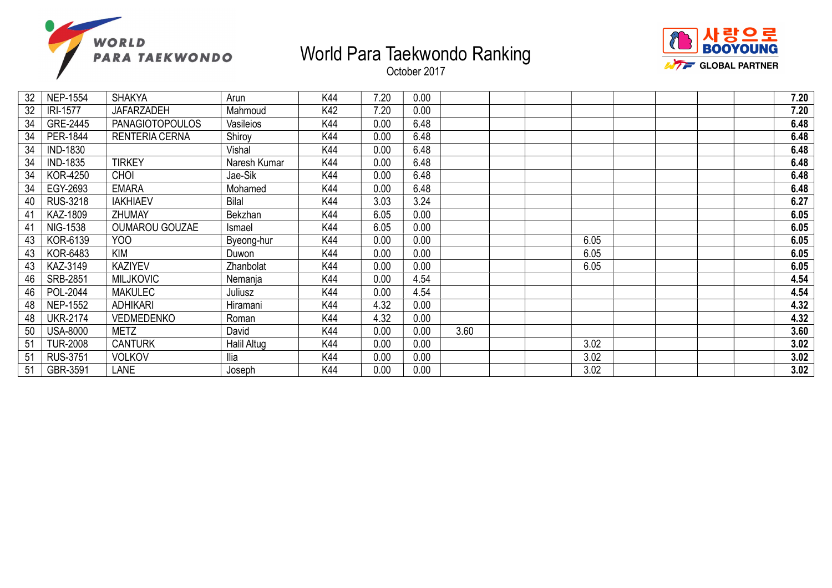



| 32 | <b>NEP-1554</b> | <b>SHAKYA</b>          | Arun         | K44 | 7.20 | 0.00 |      |  |      |  | 7.20 |
|----|-----------------|------------------------|--------------|-----|------|------|------|--|------|--|------|
| 32 | <b>IRI-1577</b> | JAFARZADEH             | Mahmoud      | K42 | 7.20 | 0.00 |      |  |      |  | 7.20 |
| 34 | GRE-2445        | <b>PANAGIOTOPOULOS</b> | Vasileios    | K44 | 0.00 | 6.48 |      |  |      |  | 6.48 |
| 34 | PER-1844        | <b>RENTERIA CERNA</b>  | Shiroy       | K44 | 0.00 | 6.48 |      |  |      |  | 6.48 |
| 34 | <b>IND-1830</b> |                        | Vishal       | K44 | 0.00 | 6.48 |      |  |      |  | 6.48 |
| 34 | <b>IND-1835</b> | <b>TIRKEY</b>          | Naresh Kumar | K44 | 0.00 | 6.48 |      |  |      |  | 6.48 |
| 34 | <b>KOR-4250</b> | <b>CHOI</b>            | Jae-Sik      | K44 | 0.00 | 6.48 |      |  |      |  | 6.48 |
| 34 | EGY-2693        | <b>EMARA</b>           | Mohamed      | K44 | 0.00 | 6.48 |      |  |      |  | 6.48 |
| 40 | <b>RUS-3218</b> | <b>IAKHIAEV</b>        | <b>Bilal</b> | K44 | 3.03 | 3.24 |      |  |      |  | 6.27 |
| 41 | KAZ-1809        | <b>ZHUMAY</b>          | Bekzhan      | K44 | 6.05 | 0.00 |      |  |      |  | 6.05 |
| 41 | <b>NIG-1538</b> | <b>OUMAROU GOUZAE</b>  | Ismael       | K44 | 6.05 | 0.00 |      |  |      |  | 6.05 |
| 43 | KOR-6139        | YOO                    | Byeong-hur   | K44 | 0.00 | 0.00 |      |  | 6.05 |  | 6.05 |
| 43 | <b>KOR-6483</b> | KIM                    | Duwon        | K44 | 0.00 | 0.00 |      |  | 6.05 |  | 6.05 |
| 43 | KAZ-3149        | <b>KAZIYEV</b>         | Zhanbolat    | K44 | 0.00 | 0.00 |      |  | 6.05 |  | 6.05 |
| 46 | <b>SRB-2851</b> | <b>MILJKOVIC</b>       | Nemanja      | K44 | 0.00 | 4.54 |      |  |      |  | 4.54 |
| 46 | POL-2044        | <b>MAKULEC</b>         | Juliusz      | K44 | 0.00 | 4.54 |      |  |      |  | 4.54 |
| 48 | <b>NEP-1552</b> | <b>ADHIKARI</b>        | Hiramani     | K44 | 4.32 | 0.00 |      |  |      |  | 4.32 |
| 48 | <b>UKR-2174</b> | <b>VEDMEDENKO</b>      | Roman        | K44 | 4.32 | 0.00 |      |  |      |  | 4.32 |
| 50 | <b>USA-8000</b> | <b>METZ</b>            | David        | K44 | 0.00 | 0.00 | 3.60 |  |      |  | 3.60 |
| 51 | <b>TUR-2008</b> | <b>CANTURK</b>         | Halil Altug  | K44 | 0.00 | 0.00 |      |  | 3.02 |  | 3.02 |
| 51 | <b>RUS-3751</b> | <b>VOLKOV</b>          | Ilia         | K44 | 0.00 | 0.00 |      |  | 3.02 |  | 3.02 |
| 51 | GBR-3591        | <b>LANE</b>            | Joseph       | K44 | 0.00 | 0.00 |      |  | 3.02 |  | 3.02 |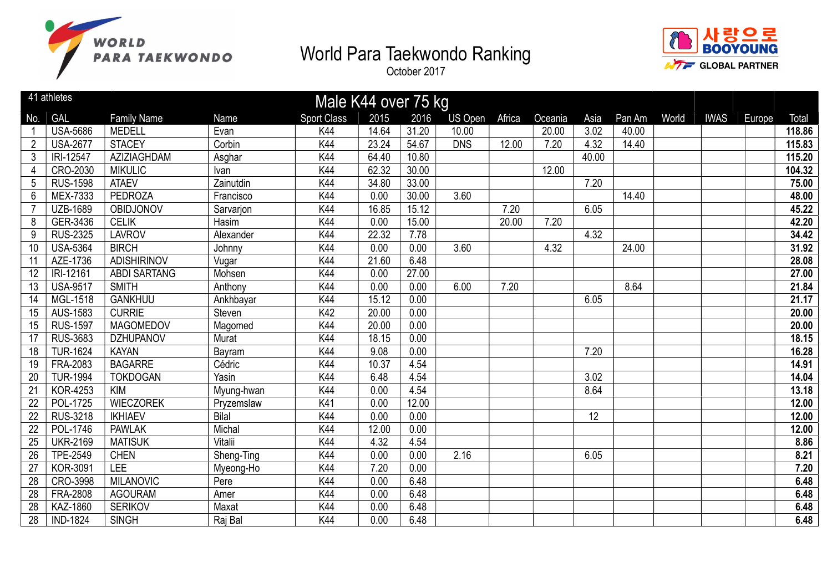



|                | 41 athletes     | Male K44 over 75 kg |              |                    |       |       |                |        |         |       |        |       |             |        |        |
|----------------|-----------------|---------------------|--------------|--------------------|-------|-------|----------------|--------|---------|-------|--------|-------|-------------|--------|--------|
| No.            | <b>GAL</b>      | <b>Family Name</b>  | <b>Name</b>  | <b>Sport Class</b> | 2015  | 2016  | <b>US Open</b> | Africa | Oceania | Asia  | Pan Am | World | <b>IWAS</b> | Europe | Total  |
|                | <b>USA-5686</b> | <b>MEDELL</b>       | Evan         | K44                | 14.64 | 31.20 | 10.00          |        | 20.00   | 3.02  | 40.00  |       |             |        | 118.86 |
| $\overline{2}$ | <b>USA-2677</b> | <b>STACEY</b>       | Corbin       | K44                | 23.24 | 54.67 | <b>DNS</b>     | 12.00  | 7.20    | 4.32  | 14.40  |       |             |        | 115.83 |
| 3              | IRI-12547       | AZIZIAGHDAM         | Asghar       | K44                | 64.40 | 10.80 |                |        |         | 40.00 |        |       |             |        | 115.20 |
| 4              | CRO-2030        | <b>MIKULIC</b>      | Ivan         | K44                | 62.32 | 30.00 |                |        | 12.00   |       |        |       |             |        | 104.32 |
| 5              | <b>RUS-1598</b> | <b>ATAEV</b>        | Zainutdin    | K44                | 34.80 | 33.00 |                |        |         | 7.20  |        |       |             |        | 75.00  |
| 6              | MEX-7333        | <b>PEDROZA</b>      | Francisco    | K44                | 0.00  | 30.00 | 3.60           |        |         |       | 14.40  |       |             |        | 48.00  |
|                | <b>UZB-1689</b> | <b>OBIDJONOV</b>    | Sarvarjon    | K44                | 16.85 | 15.12 |                | 7.20   |         | 6.05  |        |       |             |        | 45.22  |
| 8              | GER-3436        | <b>CELIK</b>        | Hasim        | K44                | 0.00  | 15.00 |                | 20.00  | 7.20    |       |        |       |             |        | 42.20  |
| 9              | <b>RUS-2325</b> | <b>LAVROV</b>       | Alexander    | K44                | 22.32 | 7.78  |                |        |         | 4.32  |        |       |             |        | 34.42  |
| 10             | <b>USA-5364</b> | <b>BIRCH</b>        | Johnny       | K44                | 0.00  | 0.00  | 3.60           |        | 4.32    |       | 24.00  |       |             |        | 31.92  |
| 11             | AZE-1736        | <b>ADISHIRINOV</b>  | Vugar        | K44                | 21.60 | 6.48  |                |        |         |       |        |       |             |        | 28.08  |
| 12             | IRI-12161       | <b>ABDI SARTANG</b> | Mohsen       | K44                | 0.00  | 27.00 |                |        |         |       |        |       |             |        | 27.00  |
| 13             | <b>USA-9517</b> | <b>SMITH</b>        | Anthony      | K44                | 0.00  | 0.00  | 6.00           | 7.20   |         |       | 8.64   |       |             |        | 21.84  |
| 14             | MGL-1518        | <b>GANKHUU</b>      | Ankhbayar    | K44                | 15.12 | 0.00  |                |        |         | 6.05  |        |       |             |        | 21.17  |
| 15             | AUS-1583        | <b>CURRIE</b>       | Steven       | K42                | 20.00 | 0.00  |                |        |         |       |        |       |             |        | 20.00  |
| 15             | <b>RUS-1597</b> | <b>MAGOMEDOV</b>    | Magomed      | K44                | 20.00 | 0.00  |                |        |         |       |        |       |             |        | 20.00  |
| 17             | <b>RUS-3683</b> | <b>DZHUPANOV</b>    | Murat        | K44                | 18.15 | 0.00  |                |        |         |       |        |       |             |        | 18.15  |
| 18             | <b>TUR-1624</b> | <b>KAYAN</b>        | Bayram       | K44                | 9.08  | 0.00  |                |        |         | 7.20  |        |       |             |        | 16.28  |
| 19             | FRA-2083        | <b>BAGARRE</b>      | Cédric       | K44                | 10.37 | 4.54  |                |        |         |       |        |       |             |        | 14.91  |
| 20             | <b>TUR-1994</b> | <b>TOKDOGAN</b>     | Yasin        | K44                | 6.48  | 4.54  |                |        |         | 3.02  |        |       |             |        | 14.04  |
| 21             | <b>KOR-4253</b> | <b>KIM</b>          | Myung-hwan   | K44                | 0.00  | 4.54  |                |        |         | 8.64  |        |       |             |        | 13.18  |
| 22             | POL-1725        | <b>WIECZOREK</b>    | Pryzemslaw   | K41                | 0.00  | 12.00 |                |        |         |       |        |       |             |        | 12.00  |
| 22             | <b>RUS-3218</b> | <b>IKHIAEV</b>      | <b>Bilal</b> | K44                | 0.00  | 0.00  |                |        |         | 12    |        |       |             |        | 12.00  |
| 22             | POL-1746        | <b>PAWLAK</b>       | Michal       | K44                | 12.00 | 0.00  |                |        |         |       |        |       |             |        | 12.00  |
| 25             | <b>UKR-2169</b> | <b>MATISUK</b>      | Vitalii      | K44                | 4.32  | 4.54  |                |        |         |       |        |       |             |        | 8.86   |
| 26             | <b>TPE-2549</b> | <b>CHEN</b>         | Sheng-Ting   | K44                | 0.00  | 0.00  | 2.16           |        |         | 6.05  |        |       |             |        | 8.21   |
| 27             | <b>KOR-3091</b> | <b>LEE</b>          | Myeong-Ho    | K44                | 7.20  | 0.00  |                |        |         |       |        |       |             |        | 7.20   |
| 28             | CRO-3998        | <b>MILANOVIC</b>    | Pere         | K44                | 0.00  | 6.48  |                |        |         |       |        |       |             |        | 6.48   |
| 28             | <b>FRA-2808</b> | <b>AGOURAM</b>      | Amer         | K44                | 0.00  | 6.48  |                |        |         |       |        |       |             |        | 6.48   |
| 28             | <b>KAZ-1860</b> | <b>SERIKOV</b>      | Maxat        | K44                | 0.00  | 6.48  |                |        |         |       |        |       |             |        | 6.48   |
| 28             | <b>IND-1824</b> | <b>SINGH</b>        | Raj Bal      | <b>K44</b>         | 0.00  | 6.48  |                |        |         |       |        |       |             |        | 6.48   |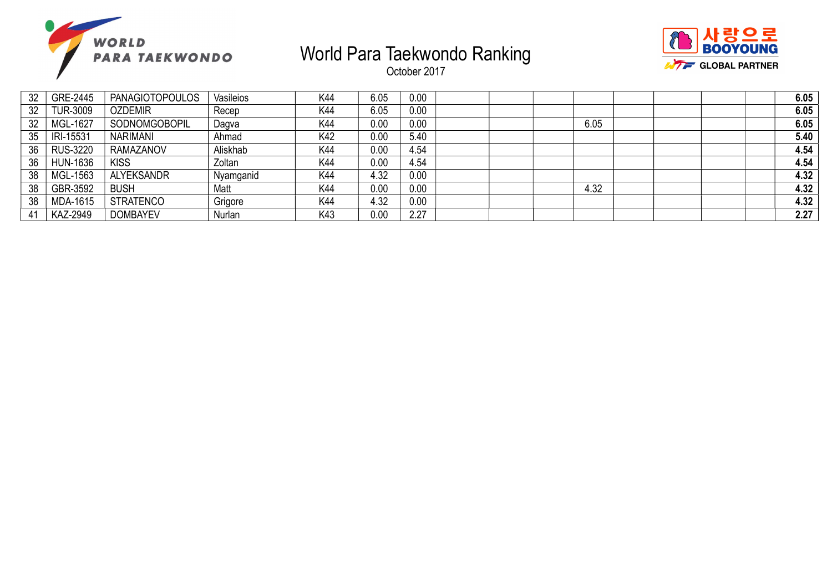



| 32 | GRE-2445        | <b>PANAGIOTOPOULOS</b> | Vasileios | K44 | 6.05 | 0.00 |      |  | 6.05 |
|----|-----------------|------------------------|-----------|-----|------|------|------|--|------|
| 32 | <b>TUR-3009</b> | <b>OZDEMIR</b>         | Recep     | K44 | 6.05 | 0.00 |      |  | 6.05 |
| 32 | MGL-1627        | SODNOMGOBOPIL          | Dagva     | K44 | 0.00 | 0.00 | 6.05 |  | 6.05 |
| 35 | IRI-15531       | <b>NARIMANI</b>        | Ahmad     | K42 | 0.00 | 5.40 |      |  | 5.40 |
| 36 | <b>RUS-3220</b> | <b>RAMAZANOV</b>       | Aliskhab  | K44 | 0.00 | 4.54 |      |  | 4.54 |
| 36 | <b>HUN-1636</b> | <b>KISS</b>            | Zoltan    | K44 | 0.00 | 4.54 |      |  | 4.54 |
| 38 | MGL-1563        | <b>ALYEKSANDR</b>      | Nyamganid | K44 | 4.32 | 0.00 |      |  | 4.32 |
| 38 | GBR-3592        | <b>BUSH</b>            | Matt      | K44 | 0.00 | 0.00 | 4.32 |  | 4.32 |
| 38 | <b>MDA-1615</b> | <b>STRATENCO</b>       | Grigore   | K44 | 4.32 | 0.00 |      |  | 4.32 |
| 41 | <b>KAZ-2949</b> | <b>DOMBAYEV</b>        | Nurlan    | K43 | 0.00 | 2.27 |      |  | 2.27 |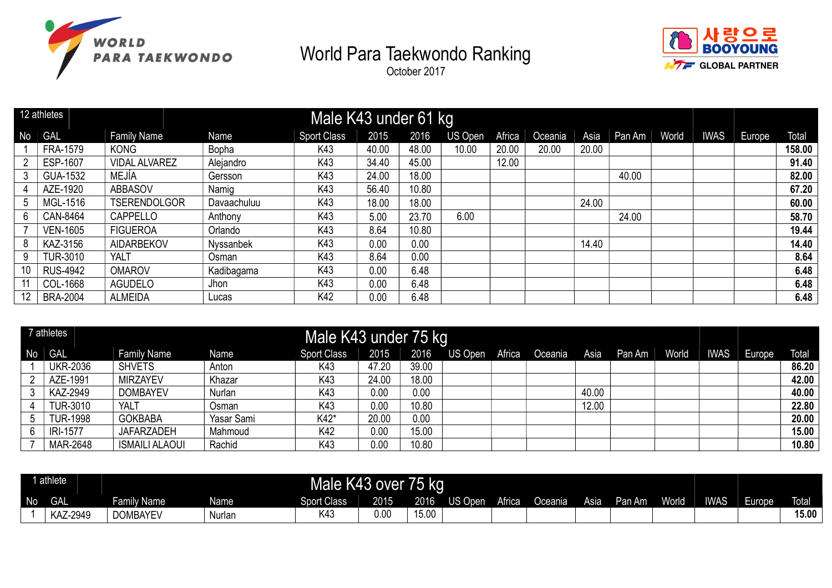





|                | 12 athletes     |                      |             | Male K43 under 61 kg |       |       |                |        |         |       |        |       |             |        |        |
|----------------|-----------------|----------------------|-------------|----------------------|-------|-------|----------------|--------|---------|-------|--------|-------|-------------|--------|--------|
| N <sub>o</sub> | <b>GAL</b>      | <b>Family Name</b>   | Name        | <b>Sport Class</b>   | 2015  | 2016  | <b>US Open</b> | Africa | Oceania | Asia  | Pan Am | World | <b>IWAS</b> | Europe | Total  |
|                | FRA-1579        | <b>KONG</b>          | Bopha       | K43                  | 40.00 | 48.00 | 10.00          | 20.00  | 20.00   | 20.00 |        |       |             |        | 158.00 |
|                | ESP-1607        | <b>VIDAL ALVAREZ</b> | Alejandro   | K43                  | 34.40 | 45.00 |                | 12.00  |         |       |        |       |             |        | 91.40  |
| 3              | GUA-1532        | MEJÍA                | Gersson     | K43                  | 24.00 | 18.00 |                |        |         |       | 40.00  |       |             |        | 82.00  |
| 4              | AZE-1920        | <b>ABBASOV</b>       | Namig       | K43                  | 56.40 | 10.80 |                |        |         |       |        |       |             |        | 67.20  |
| 5              | MGL-1516        | <b>TSERENDOLGOR</b>  | Davaachuluu | K43                  | 18.00 | 18.00 |                |        |         | 24.00 |        |       |             |        | 60.00  |
| 6              | CAN-8464        | CAPPELLO             | Anthony     | K43                  | 5.00  | 23.70 | 6.00           |        |         |       | 24.00  |       |             |        | 58.70  |
|                | <b>VEN-1605</b> | <b>FIGUEROA</b>      | Orlando     | K43                  | 8.64  | 10.80 |                |        |         |       |        |       |             |        | 19.44  |
| 8              | KAZ-3156        | <b>AIDARBEKOV</b>    | Nyssanbek   | K43                  | 0.00  | 0.00  |                |        |         | 14.40 |        |       |             |        | 14.40  |
| 9              | <b>TUR-3010</b> | <b>YALT</b>          | Osman       | K43                  | 8.64  | 0.00  |                |        |         |       |        |       |             |        | 8.64   |
| 10             | <b>RUS-4942</b> | <b>OMAROV</b>        | Kadibagama  | K43                  | 0.00  | 6.48  |                |        |         |       |        |       |             |        | 6.48   |
|                | COL-1668        | <b>AGUDELO</b>       | Jhon        | K43                  | 0.00  | 6.48  |                |        |         |       |        |       |             |        | 6.48   |
| 12             | <b>BRA-2004</b> | <b>ALMEIDA</b>       | Lucas       | K42                  | 0.00  | 6.48  |                |        |         |       |        |       |             |        | 6.48   |

|      | 7 athletes      |                       |            | Male K43 under 75 kg |       |       |                |         |       |        |       |             |        |       |
|------|-----------------|-----------------------|------------|----------------------|-------|-------|----------------|---------|-------|--------|-------|-------------|--------|-------|
| No l | <b>GAL</b>      | <b>Family Name</b>    | Name       | <b>Sport Class</b>   | 2015  | 2016  | US Open Africa | Oceania | Asia  | Pan Am | World | <b>IWAS</b> | Europe | Total |
|      | <b>UKR-2036</b> | <b>SHVETS</b>         | Anton      | K43                  | 47.20 | 39.00 |                |         |       |        |       |             |        | 86.20 |
|      | AZE-1991        | <b>MIRZAYEV</b>       | Khazar     | K43                  | 24.00 | 18.00 |                |         |       |        |       |             |        | 42.00 |
|      | KAZ-2949        | <b>DOMBAYEV</b>       | Nurlan     | K43                  | 0.00  | 0.00  |                |         | 40.00 |        |       |             |        | 40.00 |
|      | <b>TUR-3010</b> | YALT                  | Osman      | K43                  | 0.00  | 10.80 |                |         | 12.00 |        |       |             |        | 22.80 |
|      | <b>TUR-1998</b> | <b>GOKBABA</b>        | Yasar Sami | K42*                 | 20.00 | 0.00  |                |         |       |        |       |             |        | 20.00 |
|      | <b>IRI-1577</b> | <b>JAFARZADEH</b>     | Mahmoud    | K42                  | 0.00  | 15.00 |                |         |       |        |       |             |        | 15.00 |
|      | MAR-2648        | <b>ISMAILI ALAOUI</b> | Rachid     | K43                  | 0.00  | 10.80 |                |         |       |        |       |             |        | 10.80 |

|           | athlete    |                 |         | Male               | K43 over | 75 kg |         |        |                |      |        |              |             |        |              |
|-----------|------------|-----------------|---------|--------------------|----------|-------|---------|--------|----------------|------|--------|--------------|-------------|--------|--------------|
| <b>No</b> | <b>GAL</b> | Family Name     | Name    | <b>Sport Class</b> | 2015     | 2016  | US Open | Africa | <b>Oceania</b> | Asia | Pan Am | <b>World</b> | <b>IWAS</b> | ⊨urope | <b>Total</b> |
|           | KAZ-2949   | <b>DOMBAYEV</b> | Nurlar. | K4.                | 0.00     | 15.00 |         |        |                |      |        |              |             |        | 15.00        |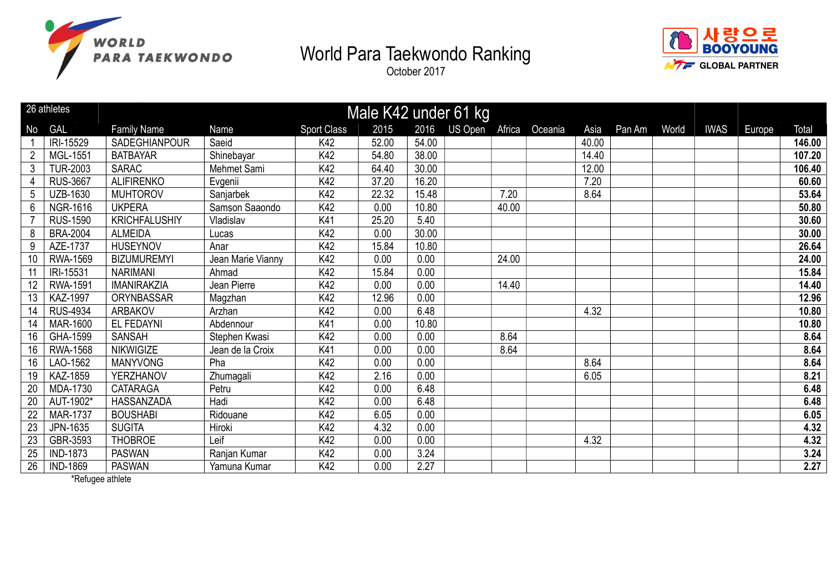

October 2017



|                | 26 athletes     |                      |                   |                    |       |       | Male K42 under 61 kg |        |         |       |        |       |             |        |        |
|----------------|-----------------|----------------------|-------------------|--------------------|-------|-------|----------------------|--------|---------|-------|--------|-------|-------------|--------|--------|
| No             | <b>GAL</b>      | <b>Family Name</b>   | Name              | <b>Sport Class</b> | 2015  | 2016  | US Open              | Africa | Oceania | Asia  | Pan Am | World | <b>IWAS</b> | Europe | Total  |
|                | IRI-15529       | SADEGHIANPOUR        | Saeid             | K42                | 52.00 | 54.00 |                      |        |         | 40.00 |        |       |             |        | 146.00 |
|                | MGL-1551        | <b>BATBAYAR</b>      | Shinebayar        | K42                | 54.80 | 38.00 |                      |        |         | 14.40 |        |       |             |        | 107.20 |
| 3              | <b>TUR-2003</b> | <b>SARAC</b>         | Mehmet Sami       | K42                | 64.40 | 30.00 |                      |        |         | 12.00 |        |       |             |        | 106.40 |
| 4              | <b>RUS-3667</b> | <b>ALIFIRENKO</b>    | Evgenii           | K42                | 37.20 | 16.20 |                      |        |         | 7.20  |        |       |             |        | 60.60  |
| 5              | UZB-1630        | <b>MUHTOROV</b>      | Sanjarbek         | K42                | 22.32 | 15.48 |                      | 7.20   |         | 8.64  |        |       |             |        | 53.64  |
| $6\phantom{.}$ | <b>NGR-1616</b> | <b>UKPERA</b>        | Samson Saaondo    | K42                | 0.00  | 10.80 |                      | 40.00  |         |       |        |       |             |        | 50.80  |
|                | <b>RUS-1590</b> | <b>KRICHFALUSHIY</b> | Vladislav         | K41                | 25.20 | 5.40  |                      |        |         |       |        |       |             |        | 30.60  |
| 8              | <b>BRA-2004</b> | <b>ALMEIDA</b>       | Lucas             | K42                | 0.00  | 30.00 |                      |        |         |       |        |       |             |        | 30.00  |
| 9              | AZE-1737        | <b>HUSEYNOV</b>      | Anar              | K42                | 15.84 | 10.80 |                      |        |         |       |        |       |             |        | 26.64  |
| 10             | <b>RWA-1569</b> | <b>BIZUMUREMYI</b>   | Jean Marie Vianny | K42                | 0.00  | 0.00  |                      | 24.00  |         |       |        |       |             |        | 24.00  |
| 11             | IRI-15531       | <b>NARIMANI</b>      | Ahmad             | K42                | 15.84 | 0.00  |                      |        |         |       |        |       |             |        | 15.84  |
| 12             | <b>RWA-1591</b> | <b>IMANIRAKZIA</b>   | Jean Pierre       | K42                | 0.00  | 0.00  |                      | 14.40  |         |       |        |       |             |        | 14.40  |
| 13             | <b>KAZ-1997</b> | ORYNBASSAR           | Magzhan           | K42                | 12.96 | 0.00  |                      |        |         |       |        |       |             |        | 12.96  |
| 14             | <b>RUS-4934</b> | ARBAKOV              | Arzhan            | K42                | 0.00  | 6.48  |                      |        |         | 4.32  |        |       |             |        | 10.80  |
| 14             | <b>MAR-1600</b> | EL FEDAYNI           | Abdennour         | K41                | 0.00  | 10.80 |                      |        |         |       |        |       |             |        | 10.80  |
| 16             | GHA-1599        | <b>SANSAH</b>        | Stephen Kwasi     | K42                | 0.00  | 0.00  |                      | 8.64   |         |       |        |       |             |        | 8.64   |
| 16             | <b>RWA-1568</b> | <b>NIKWIGIZE</b>     | Jean de la Croix  | K41                | 0.00  | 0.00  |                      | 8.64   |         |       |        |       |             |        | 8.64   |
| 16             | LAO-1562        | <b>MANYVONG</b>      | Pha               | K42                | 0.00  | 0.00  |                      |        |         | 8.64  |        |       |             |        | 8.64   |
| 19             | KAZ-1859        | YERZHANOV            | Zhumagali         | K42                | 2.16  | 0.00  |                      |        |         | 6.05  |        |       |             |        | 8.21   |
| 20             | MDA-1730        | <b>CATARAGA</b>      | Petru             | K42                | 0.00  | 6.48  |                      |        |         |       |        |       |             |        | 6.48   |
| 20             | AUT-1902*       | HASSANZADA           | Hadi              | K42                | 0.00  | 6.48  |                      |        |         |       |        |       |             |        | 6.48   |
| 22             | <b>MAR-1737</b> | <b>BOUSHABI</b>      | Ridouane          | K42                | 6.05  | 0.00  |                      |        |         |       |        |       |             |        | 6.05   |
| 23             | JPN-1635        | <b>SUGITA</b>        | Hiroki            | K42                | 4.32  | 0.00  |                      |        |         |       |        |       |             |        | 4.32   |
| 23             | GBR-3593        | <b>THOBROE</b>       | Leif              | K42                | 0.00  | 0.00  |                      |        |         | 4.32  |        |       |             |        | 4.32   |
| 25             | <b>IND-1873</b> | <b>PASWAN</b>        | Ranjan Kumar      | K42                | 0.00  | 3.24  |                      |        |         |       |        |       |             |        | 3.24   |
| 26             | <b>IND-1869</b> | <b>PASWAN</b>        | Yamuna Kumar      | K42                | 0.00  | 2.27  |                      |        |         |       |        |       |             |        | 2.27   |

\*Refugee athlete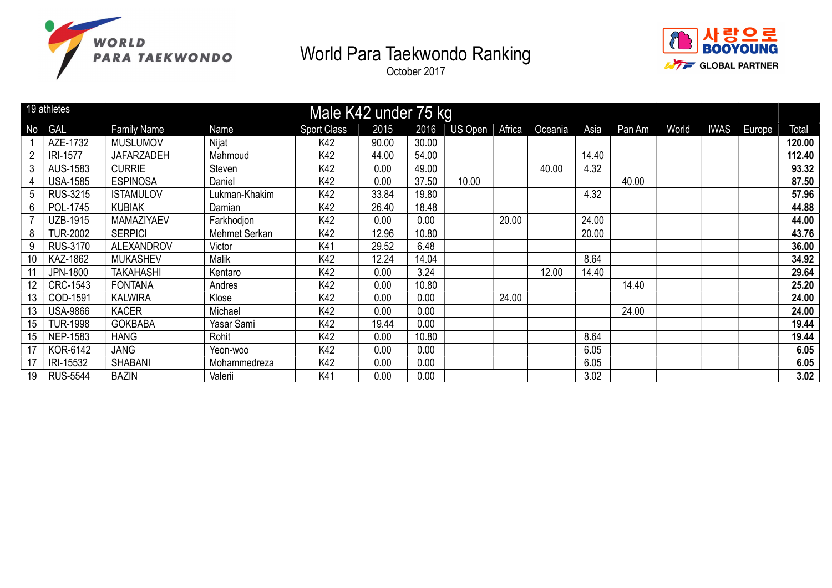



|    | 19 athletes<br>Male K42 under 75 kg |                    |               |                    |       |       |                |        |         |       |        |       |             |        |        |
|----|-------------------------------------|--------------------|---------------|--------------------|-------|-------|----------------|--------|---------|-------|--------|-------|-------------|--------|--------|
| No | <b>GAL</b>                          | <b>Family Name</b> | Name          | <b>Sport Class</b> | 2015  | 2016  | <b>US Open</b> | Africa | Oceania | Asia  | Pan Am | World | <b>IWAS</b> | Europe | Total  |
|    | AZE-1732                            | <b>MUSLUMOV</b>    | Nijat         | K42                | 90.00 | 30.00 |                |        |         |       |        |       |             |        | 120.00 |
|    | <b>IRI-1577</b>                     | <b>JAFARZADEH</b>  | Mahmoud       | K42                | 44.00 | 54.00 |                |        |         | 14.40 |        |       |             |        | 112.40 |
| 3  | AUS-1583                            | <b>CURRIE</b>      | Steven        | K42                | 0.00  | 49.00 |                |        | 40.00   | 4.32  |        |       |             |        | 93.32  |
|    | <b>USA-1585</b>                     | <b>ESPINOSA</b>    | Daniel        | K42                | 0.00  | 37.50 | 10.00          |        |         |       | 40.00  |       |             |        | 87.50  |
| 5  | <b>RUS-3215</b>                     | <b>ISTAMULOV</b>   | Lukman-Khakim | K42                | 33.84 | 19.80 |                |        |         | 4.32  |        |       |             |        | 57.96  |
| 6  | POL-1745                            | <b>KUBIAK</b>      | Damian        | K42                | 26.40 | 18.48 |                |        |         |       |        |       |             |        | 44.88  |
|    | UZB-1915                            | MAMAZIYAEV         | Farkhodjon    | K42                | 0.00  | 0.00  |                | 20.00  |         | 24.00 |        |       |             |        | 44.00  |
| 8  | <b>TUR-2002</b>                     | <b>SERPICI</b>     | Mehmet Serkan | K42                | 12.96 | 10.80 |                |        |         | 20.00 |        |       |             |        | 43.76  |
| 9  | RUS-3170                            | <b>ALEXANDROV</b>  | Victor        | K41                | 29.52 | 6.48  |                |        |         |       |        |       |             |        | 36.00  |
| 10 | KAZ-1862                            | <b>MUKASHEV</b>    | <b>Malik</b>  | K42                | 12.24 | 14.04 |                |        |         | 8.64  |        |       |             |        | 34.92  |
|    | JPN-1800                            | <b>TAKAHASHI</b>   | Kentaro       | K42                | 0.00  | 3.24  |                |        | 12.00   | 14.40 |        |       |             |        | 29.64  |
| 12 | <b>CRC-1543</b>                     | <b>FONTANA</b>     | Andres        | K42                | 0.00  | 10.80 |                |        |         |       | 14.40  |       |             |        | 25.20  |
| 13 | COD-1591                            | <b>KALWIRA</b>     | Klose         | K42                | 0.00  | 0.00  |                | 24.00  |         |       |        |       |             |        | 24.00  |
| 13 | <b>USA-9866</b>                     | <b>KACER</b>       | Michael       | K42                | 0.00  | 0.00  |                |        |         |       | 24.00  |       |             |        | 24.00  |
| 15 | <b>TUR-1998</b>                     | <b>GOKBABA</b>     | Yasar Sami    | K42                | 19.44 | 0.00  |                |        |         |       |        |       |             |        | 19.44  |
| 15 | <b>NEP-1583</b>                     | <b>HANG</b>        | Rohit         | K42                | 0.00  | 10.80 |                |        |         | 8.64  |        |       |             |        | 19.44  |
| 17 | KOR-6142                            | <b>JANG</b>        | Yeon-woo      | K42                | 0.00  | 0.00  |                |        |         | 6.05  |        |       |             |        | 6.05   |
| 17 | IRI-15532                           | <b>SHABANI</b>     | Mohammedreza  | K42                | 0.00  | 0.00  |                |        |         | 6.05  |        |       |             |        | 6.05   |
| 19 | <b>RUS-5544</b>                     | <b>BAZIN</b>       | Valerii       | K41                | 0.00  | 0.00  |                |        |         | 3.02  |        |       |             |        | 3.02   |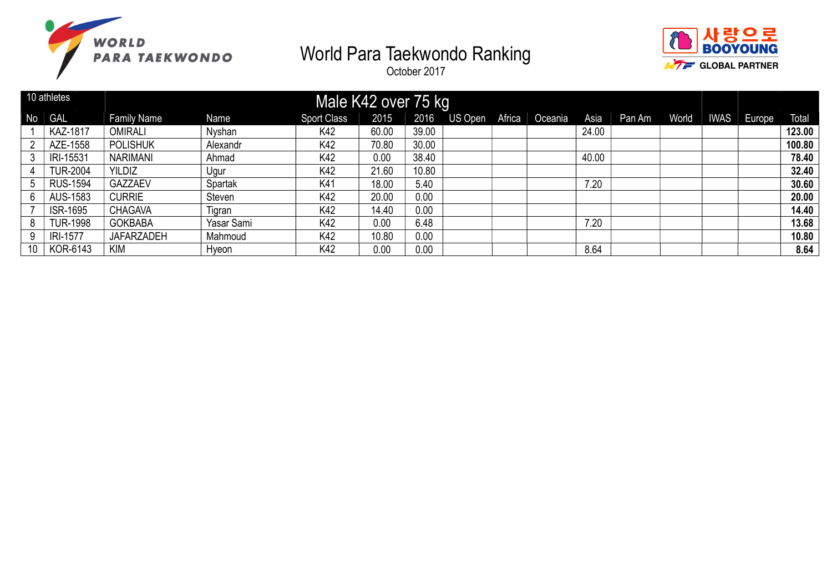



|                | 10 athletes     |                    |            | Male K42 over 75 kg |       |       |                |         |       |        |       |             |        |        |
|----------------|-----------------|--------------------|------------|---------------------|-------|-------|----------------|---------|-------|--------|-------|-------------|--------|--------|
| N <sub>o</sub> | <b>GAL</b>      | <b>Family Name</b> | Name       | <b>Sport Class</b>  | 2015  | 2016  | US Open Africa | Oceania | Asia  | Pan Am | World | <b>IWAS</b> | Europe | Total  |
|                | <b>KAZ-1817</b> | <b>OMIRALI</b>     | Nyshan     | K42                 | 60.00 | 39.00 |                |         | 24.00 |        |       |             |        | 123.00 |
| റ              | AZE-1558        | <b>POLISHUK</b>    | Alexandr   | K42                 | 70.80 | 30.00 |                |         |       |        |       |             |        | 100.80 |
| 3              | IRI-15531       | <b>NARIMANI</b>    | Ahmad      | K42                 | 0.00  | 38.40 |                |         | 40.00 |        |       |             |        | 78.40  |
|                | <b>TUR-2004</b> | <b>YILDIZ</b>      | Ugur       | K42                 | 21.60 | 10.80 |                |         |       |        |       |             |        | 32.40  |
| 5              | <b>RUS-1594</b> | <b>GAZZAEV</b>     | Spartak    | K41                 | 18.00 | 5.40  |                |         | 7.20  |        |       |             |        | 30.60  |
| 6              | AUS-1583        | <b>CURRIE</b>      | Steven     | K42                 | 20.00 | 0.00  |                |         |       |        |       |             |        | 20.00  |
|                | <b>ISR-1695</b> | <b>CHAGAVA</b>     | Tigran     | K42                 | 14.40 | 0.00  |                |         |       |        |       |             |        | 14.40  |
| 8              | <b>TUR-1998</b> | <b>GOKBABA</b>     | Yasar Sami | K42                 | 0.00  | 6.48  |                |         | 7.20  |        |       |             |        | 13.68  |
| 9              | <b>IRI-1577</b> | <b>JAFARZADEH</b>  | Mahmoud    | K42                 | 10.80 | 0.00  |                |         |       |        |       |             |        | 10.80  |
| 10             | KOR-6143        | <b>KIM</b>         | Hyeon      | K42                 | 0.00  | 0.00  |                |         | 8.64  |        |       |             |        | 8.64   |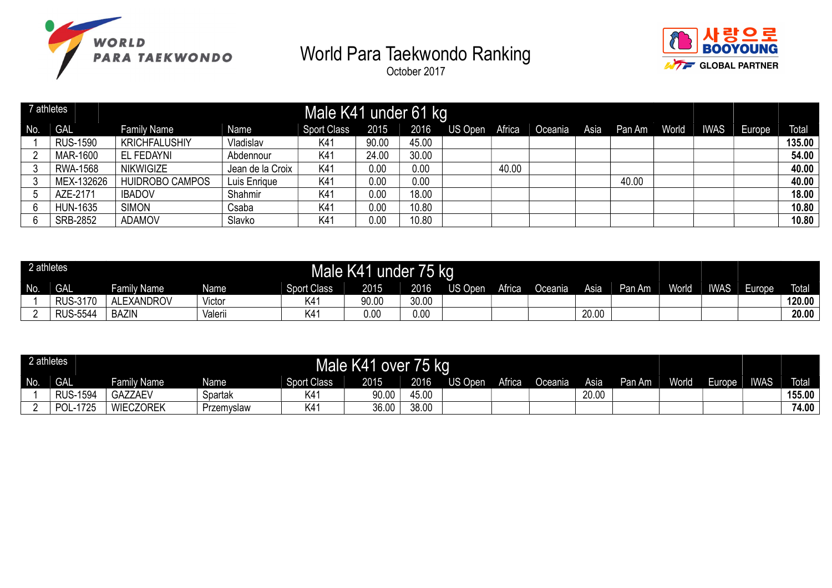



|              | 7 athletes      |                        |                  | Male K41 under 61 kg |       |       |         |        |         |      |        |       |             |        |              |
|--------------|-----------------|------------------------|------------------|----------------------|-------|-------|---------|--------|---------|------|--------|-------|-------------|--------|--------------|
| No.          | <b>GAL</b>      | <b>Family Name</b>     | Name             | <b>Sport Class</b>   | 2015  | 2016  | US Open | Africa | Oceania | Asia | Pan Am | World | <b>IWAS</b> | Europe | <b>Total</b> |
|              | <b>RUS-1590</b> | <b>KRICHFALUSHIY</b>   | Vladislav        | K41                  | 90.00 | 45.00 |         |        |         |      |        |       |             |        | 135.00       |
| <sup>n</sup> | MAR-1600        | EL FEDAYNI             | Abdennour        | K41                  | 24.00 | 30.00 |         |        |         |      |        |       |             |        | 54.00        |
|              | <b>RWA-1568</b> | <b>NIKWIGIZE</b>       | Jean de la Croix | K41                  | 0.00  | 0.00  |         | 40.00  |         |      |        |       |             |        | 40.00        |
|              | MEX-132626      | <b>HUIDROBO CAMPOS</b> | Luis Enrique     | K41                  | 0.00  | 0.00  |         |        |         |      | 40.00  |       |             |        | 40.00        |
|              | AZE-2171        | <b>IBADOV</b>          | Shahmir          | K4                   | 0.00  | 18.00 |         |        |         |      |        |       |             |        | 18.00        |
|              | <b>HUN-1635</b> | <b>SIMON</b>           | Csaba            | K41                  | 0.00  | 10.80 |         |        |         |      |        |       |             |        | 10.80        |
| 6            | <b>SRB-2852</b> | <b>ADAMOV</b>          | Slavko           | K41                  | 0.00  | 10.80 |         |        |         |      |        |       |             |        | 10.80        |

| 2 athletes |                 |                    |         | Male K41           |       | 71 T<br>under /5 kg |         |        |         |       |        |              |             |        |              |
|------------|-----------------|--------------------|---------|--------------------|-------|---------------------|---------|--------|---------|-------|--------|--------------|-------------|--------|--------------|
| No.        | <b>GAL</b>      | <b>Family Name</b> | Name    | <b>Sport Class</b> | 2015  | 2016                | US Open | Africa | ⊃ceania | Asia  | Pan Am | <b>World</b> | <b>IWAS</b> | Europe | <b>Total</b> |
|            | <b>RUS-3170</b> | <b>ALEXANDROV</b>  | Victor  | K41                | 90.00 | 30.00               |         |        |         |       |        |              |             |        | 120.00       |
|            | <b>RUS-5544</b> | BAZIN              | Valerii | K41                | 0.00  | 0.00                |         |        |         | 20.00 |        |              |             |        | 20.00        |

| 2 athletes |                  |                    |            |                    | Male K41 over 75 kg |       |         |        |         |       |        |       |        |             |        |
|------------|------------------|--------------------|------------|--------------------|---------------------|-------|---------|--------|---------|-------|--------|-------|--------|-------------|--------|
| No.        | <b>GAL</b>       | <b>Family Name</b> | Name       | <b>Sport Class</b> | 2015                | 2016  | US Open | Africa | Oceania | Asia  | Pan Am | World | Europe | <b>IWAS</b> | Total  |
|            | <b>RUS-1594</b>  | <b>GAZZAEV</b>     | Spartak    | K41                | 90.00               | 45.00 |         |        |         | 20.00 |        |       |        |             | 155.00 |
|            | JL-1725<br>⊺ P∩I | <b>WIECZOREK</b>   | Przemyslaw | 〈41                | 36.00               | 38.00 |         |        |         |       |        |       |        |             | 74.00  |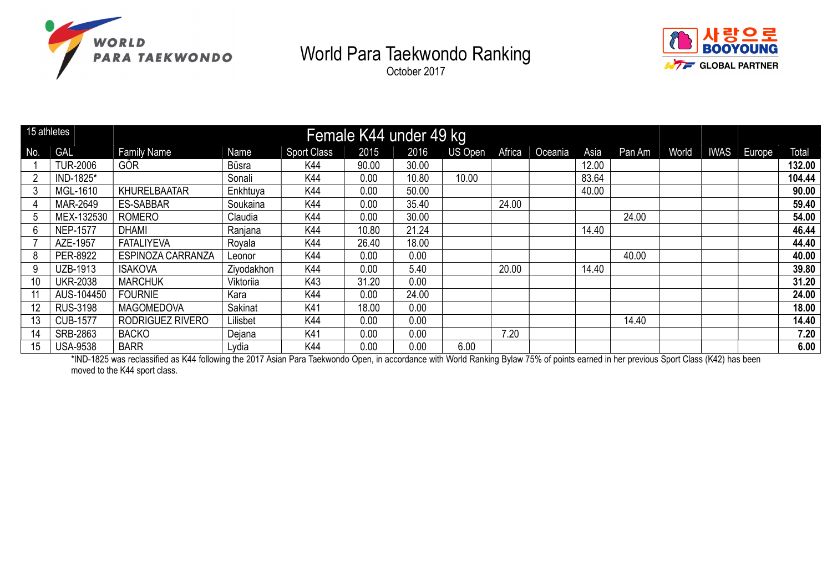



October 2017

|                 | 15 athletes     |                          |            |                    | Female K44 under 49 kg |       |                |        |         |       |        |       |             |        |        |
|-----------------|-----------------|--------------------------|------------|--------------------|------------------------|-------|----------------|--------|---------|-------|--------|-------|-------------|--------|--------|
| No.             | GAL             | <b>Family Name</b>       | Name       | <b>Sport Class</b> | 2015                   | 2016  | <b>US Open</b> | Africa | Oceania | Asia  | Pan Am | World | <b>IWAS</b> | Europe | Total  |
|                 | <b>TUR-2006</b> | GÖR                      | Büsra      | K44                | 90.00                  | 30.00 |                |        |         | 12.00 |        |       |             |        | 132.00 |
|                 | IND-1825*       |                          | Sonali     | K44                | 0.00                   | 10.80 | 10.00          |        |         | 83.64 |        |       |             |        | 104.44 |
|                 | MGL-1610        | <b>KHURELBAATAR</b>      | Enkhtuya   | K44                | 0.00                   | 50.00 |                |        |         | 40.00 |        |       |             |        | 90.00  |
|                 | MAR-2649        | <b>ES-SABBAR</b>         | Soukaina   | K44                | 0.00                   | 35.40 |                | 24.00  |         |       |        |       |             |        | 59.40  |
| 5.              | MEX-132530      | <b>ROMERO</b>            | Claudia    | K44                | 0.00                   | 30.00 |                |        |         |       | 24.00  |       |             |        | 54.00  |
| 6               | <b>NEP-1577</b> | <b>DHAMI</b>             | Ranjana    | K44                | 10.80                  | 21.24 |                |        |         | 14.40 |        |       |             |        | 46.44  |
|                 | AZE-1957        | <b>FATALIYEVA</b>        | Royala     | K44                | 26.40                  | 18.00 |                |        |         |       |        |       |             |        | 44.40  |
| 8               | PER-8922        | <b>ESPINOZA CARRANZA</b> | Leonor     | K44                | 0.00                   | 0.00  |                |        |         |       | 40.00  |       |             |        | 40.00  |
| 9               | UZB-1913        | <b>ISAKOVA</b>           | Ziyodakhon | K44                | 0.00                   | 5.40  |                | 20.00  |         | 14.40 |        |       |             |        | 39.80  |
| 10              | <b>UKR-2038</b> | <b>MARCHUK</b>           | Viktoriia  | K43                | 31.20                  | 0.00  |                |        |         |       |        |       |             |        | 31.20  |
|                 | AUS-104450      | <b>FOURNIE</b>           | Kara       | K44                | 0.00                   | 24.00 |                |        |         |       |        |       |             |        | 24.00  |
| 12 <sup>°</sup> | <b>RUS-3198</b> | <b>MAGOMEDOVA</b>        | Sakinat    | K41                | 18.00                  | 0.00  |                |        |         |       |        |       |             |        | 18.00  |
| 13              | <b>CUB-1577</b> | RODRIGUEZ RIVERO         | Lilisbet   | K44                | 0.00                   | 0.00  |                |        |         |       | 14.40  |       |             |        | 14.40  |
| 14              | SRB-2863        | <b>BACKO</b>             | Dejana     | K41                | 0.00                   | 0.00  |                | 7.20   |         |       |        |       |             |        | 7.20   |
| 15              | <b>USA-9538</b> | <b>BARR</b>              | Lydia      | K44                | 0.00                   | 0.00  | 6.00           |        |         |       |        |       |             |        | 6.00   |

\*IND-1825 was reclassified as K44 following the 2017 Asian Para Taekwondo Open, in accordance with World Ranking Bylaw 75% of points earned in her previous Sport Class (K42) has been moved to the K44 sport class.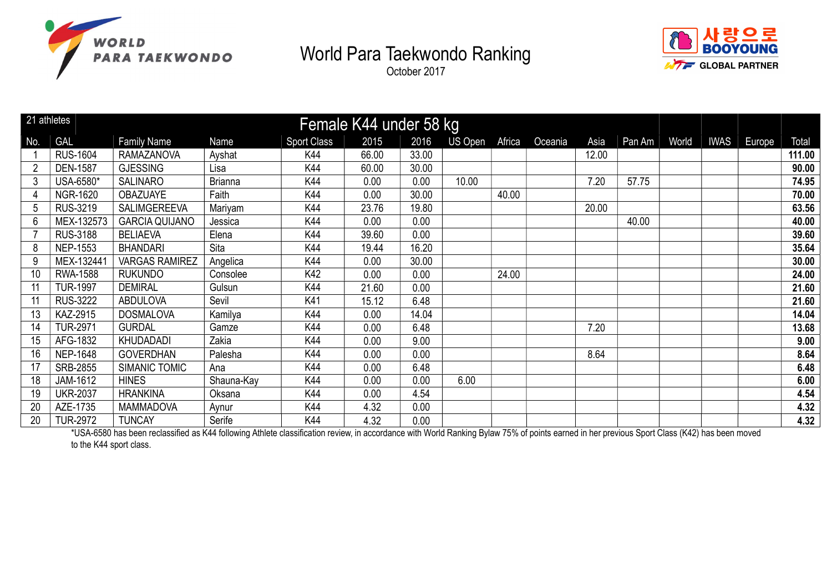





| 21 athletes |                 |                       |                |                    | Female K44 under 58 kg |       |         |        |         |       |        |       |             |        |        |
|-------------|-----------------|-----------------------|----------------|--------------------|------------------------|-------|---------|--------|---------|-------|--------|-------|-------------|--------|--------|
| No.         | <b>GAL</b>      | <b>Family Name</b>    | Name           | <b>Sport Class</b> | 2015                   | 2016  | US Open | Africa | Oceania | Asia  | Pan Am | World | <b>IWAS</b> | Europe | Total  |
|             | <b>RUS-1604</b> | <b>RAMAZANOVA</b>     | Ayshat         | K44                | 66.00                  | 33.00 |         |        |         | 12.00 |        |       |             |        | 111.00 |
|             | <b>DEN-1587</b> | <b>GJESSING</b>       | Lisa           | K44                | 60.00                  | 30.00 |         |        |         |       |        |       |             |        | 90.00  |
| 3           | USA-6580*       | <b>SALINARO</b>       | <b>Brianna</b> | K44                | 0.00                   | 0.00  | 10.00   |        |         | 7.20  | 57.75  |       |             |        | 74.95  |
|             | <b>NGR-1620</b> | <b>OBAZUAYE</b>       | Faith          | K44                | 0.00                   | 30.00 |         | 40.00  |         |       |        |       |             |        | 70.00  |
| 5           | <b>RUS-3219</b> | SALIMGEREEVA          | Mariyam        | K44                | 23.76                  | 19.80 |         |        |         | 20.00 |        |       |             |        | 63.56  |
| 6           | MEX-132573      | <b>GARCIA QUIJANO</b> | Jessica        | K44                | 0.00                   | 0.00  |         |        |         |       | 40.00  |       |             |        | 40.00  |
|             | <b>RUS-3188</b> | <b>BELIAEVA</b>       | Elena          | K44                | 39.60                  | 0.00  |         |        |         |       |        |       |             |        | 39.60  |
| 8           | <b>NEP-1553</b> | <b>BHANDARI</b>       | Sita           | K44                | 19.44                  | 16.20 |         |        |         |       |        |       |             |        | 35.64  |
| 9           | MEX-132441      | <b>VARGAS RAMIREZ</b> | Angelica       | K44                | 0.00                   | 30.00 |         |        |         |       |        |       |             |        | 30.00  |
| 10          | RWA-1588        | <b>RUKUNDO</b>        | Consolee       | K42                | 0.00                   | 0.00  |         | 24.00  |         |       |        |       |             |        | 24.00  |
|             | <b>TUR-1997</b> | <b>DEMIRAL</b>        | Gulsun         | K44                | 21.60                  | 0.00  |         |        |         |       |        |       |             |        | 21.60  |
|             | <b>RUS-3222</b> | <b>ABDULOVA</b>       | Sevil          | K41                | 15.12                  | 6.48  |         |        |         |       |        |       |             |        | 21.60  |
| 13          | KAZ-2915        | <b>DOSMALOVA</b>      | Kamilya        | K44                | 0.00                   | 14.04 |         |        |         |       |        |       |             |        | 14.04  |
| 14          | <b>TUR-2971</b> | <b>GURDAL</b>         | Gamze          | K44                | 0.00                   | 6.48  |         |        |         | 7.20  |        |       |             |        | 13.68  |
| 15          | AFG-1832        | KHUDADADI             | Zakia          | K44                | 0.00                   | 9.00  |         |        |         |       |        |       |             |        | 9.00   |
| 16          | <b>NEP-1648</b> | <b>GOVERDHAN</b>      | Palesha        | K44                | 0.00                   | 0.00  |         |        |         | 8.64  |        |       |             |        | 8.64   |
| 17          | SRB-2855        | SIMANIC TOMIC         | Ana            | K44                | 0.00                   | 6.48  |         |        |         |       |        |       |             |        | 6.48   |
| 18          | JAM-1612        | <b>HINES</b>          | Shauna-Kay     | K44                | 0.00                   | 0.00  | 6.00    |        |         |       |        |       |             |        | 6.00   |
| 19          | <b>UKR-2037</b> | <b>HRANKINA</b>       | Oksana         | K44                | 0.00                   | 4.54  |         |        |         |       |        |       |             |        | 4.54   |
| 20          | AZE-1735        | <b>MAMMADOVA</b>      | Aynur          | K44                | 4.32                   | 0.00  |         |        |         |       |        |       |             |        | 4.32   |
| 20          | <b>TUR-2972</b> | <b>TUNCAY</b>         | Serife         | K44                | 4.32                   | 0.00  |         |        |         |       |        |       |             |        | 4.32   |

\*USA-6580 has been reclassified as K44 following Athlete classification review, in accordance with World Ranking Bylaw 75% of points earned in her previous Sport Class (K42) has been moved to the K44 sport class.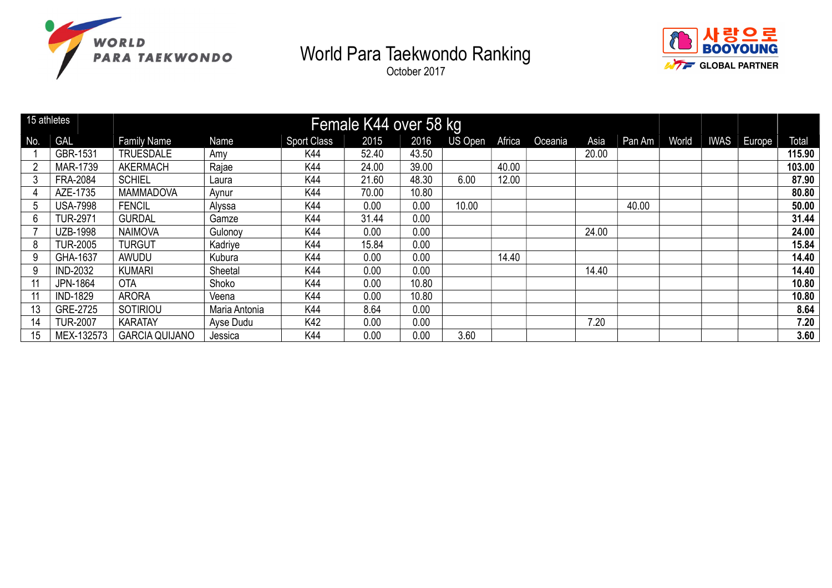





| 15 athletes  |                 |                       |               |                    | Female K44 over 58 kg |       |         |        |         |       |        |       |             |        |
|--------------|-----------------|-----------------------|---------------|--------------------|-----------------------|-------|---------|--------|---------|-------|--------|-------|-------------|--------|
| No.          | <b>GAL</b>      | <b>Family Name</b>    | Name          | <b>Sport Class</b> | 2015                  | 2016  | US Open | Africa | Oceania | Asia  | Pan Am | World | IWAS Europe | Total  |
|              | GBR-1531        | <b>TRUESDALE</b>      | Amy           | K44                | 52.40                 | 43.50 |         |        |         | 20.00 |        |       |             | 115.90 |
|              | MAR-1739        | <b>AKERMACH</b>       | Rajae         | K44                | 24.00                 | 39.00 |         | 40.00  |         |       |        |       |             | 103.00 |
|              | <b>FRA-2084</b> | <b>SCHIEL</b>         | Laura         | K44                | 21.60                 | 48.30 | 6.00    | 12.00  |         |       |        |       |             | 87.90  |
|              | AZE-1735        | MAMMADOVA             | Aynur         | K44                | 70.00                 | 10.80 |         |        |         |       |        |       |             | 80.80  |
| <sub>5</sub> | <b>USA-7998</b> | <b>FENCIL</b>         | Alyssa        | K44                | 0.00                  | 0.00  | 10.00   |        |         |       | 40.00  |       |             | 50.00  |
| 6            | <b>TUR-2971</b> | <b>GURDAL</b>         | Gamze         | K44                | 31.44                 | 0.00  |         |        |         |       |        |       |             | 31.44  |
|              | <b>UZB-1998</b> | <b>NAIMOVA</b>        | Gulonoy       | K44                | 0.00                  | 0.00  |         |        |         | 24.00 |        |       |             | 24.00  |
| 8            | <b>TUR-2005</b> | <b>TURGUT</b>         | Kadriye       | K44                | 15.84                 | 0.00  |         |        |         |       |        |       |             | 15.84  |
| 9            | GHA-1637        | AWUDU                 | Kubura        | K44                | 0.00                  | 0.00  |         | 14.40  |         |       |        |       |             | 14.40  |
| 9            | <b>IND-2032</b> | <b>KUMARI</b>         | Sheetal       | K44                | 0.00                  | 0.00  |         |        |         | 14.40 |        |       |             | 14.40  |
|              | JPN-1864        | <b>OTA</b>            | Shoko         | K44                | 0.00                  | 10.80 |         |        |         |       |        |       |             | 10.80  |
|              | <b>IND-1829</b> | <b>ARORA</b>          | Veena         | K44                | 0.00                  | 10.80 |         |        |         |       |        |       |             | 10.80  |
| 13           | GRE-2725        | SOTIRIOU              | Maria Antonia | K44                | 8.64                  | 0.00  |         |        |         |       |        |       |             | 8.64   |
| 14           | <b>TUR-2007</b> | <b>KARATAY</b>        | Ayse Dudu     | K42                | 0.00                  | 0.00  |         |        |         | 7.20  |        |       |             | 7.20   |
| 15           | MEX-132573      | <b>GARCIA QUIJANO</b> | Jessica       | K44                | 0.00                  | 0.00  | 3.60    |        |         |       |        |       |             | 3.60   |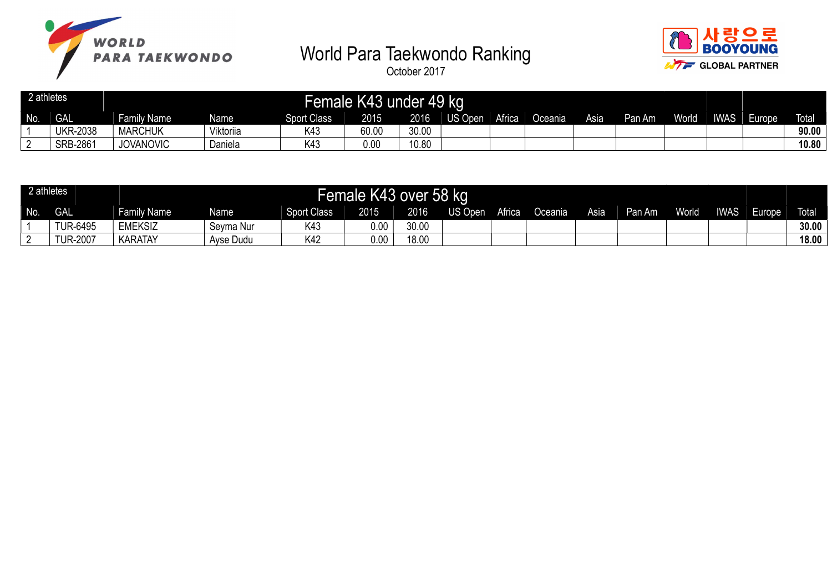



| 2 athletes |                 |                  |             |                    | Female K43 under 49 kg |       |         |               |         |      |        |       |             |        |              |
|------------|-----------------|------------------|-------------|--------------------|------------------------|-------|---------|---------------|---------|------|--------|-------|-------------|--------|--------------|
| No.        | <b>GAL</b>      | Family Name      | <b>Name</b> | <b>Sport Class</b> | 2015                   | 2016  | US Open | <b>Africa</b> | Oceania | Asia | Pan Am | World | <b>IWAS</b> | Europe | <b>Total</b> |
|            | <b>UKR-2038</b> | <b>MARCHUK</b>   | Viktoriia   | K43                | 60.00                  | 30.00 |         |               |         |      |        |       |             |        | 90.00        |
|            | SRB-2861        | <b>JOVANOVIC</b> | Daniela     | 《4:                | 0.00                   | 10.80 |         |               |         |      |        |       |             |        | 10.80        |

| 2 athletes |                |                |           |                    | Female K43 over 58 kg |       |                |        |         |      |        |       |             |        |              |
|------------|----------------|----------------|-----------|--------------------|-----------------------|-------|----------------|--------|---------|------|--------|-------|-------------|--------|--------------|
| No.        | <b>GAL</b>     | Family Name    | Name      | <b>Sport Class</b> | 2015                  | 2016  | <b>US Open</b> | Africa | Oceania | Asia | Pan Am | World | <b>IWAS</b> | Europe | <b>Total</b> |
|            | <b>UR-6495</b> | <b>EMEKSIZ</b> | Seyma Nur | K43                | 0.00                  | 30.00 |                |        |         |      |        |       |             |        | 30.00        |
|            | UR-2007        | KARATAY        | Ayse Dudu | K42                | 0.00                  | 18.00 |                |        |         |      |        |       |             |        | 18.00        |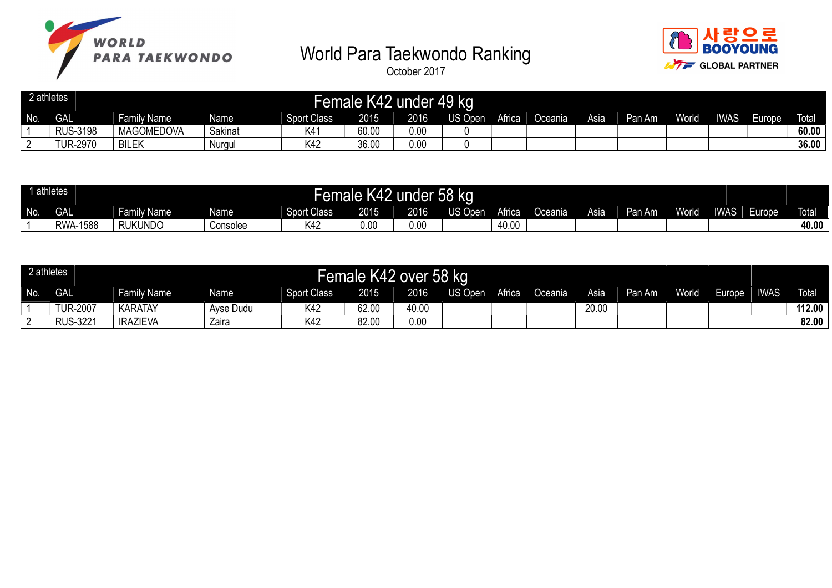



|     | athletes        |                    |         |                    | Female K42 | under | 49 kg          |               |         |      |        |       |             |       |              |
|-----|-----------------|--------------------|---------|--------------------|------------|-------|----------------|---------------|---------|------|--------|-------|-------------|-------|--------------|
| No. | <b>GAL</b>      | nily Name<br>. Far | Name    | <b>Sport Class</b> | 2015       | 2016  | <b>US Open</b> | <b>Africa</b> | Oceania | Asia | Pan Am | World | <b>IWAS</b> | urope | <b>Total</b> |
|     | <b>RUS-3198</b> | <b>MAGOMEDOVA</b>  | Sakinat | K4                 | 60.00      | 0.00  |                |               |         |      |        |       |             |       | 60.00        |
|     | <b>TUR-2970</b> | <b>BILEK</b>       | Nurgul  | K42                | 36.00      | 0.00  |                |               |         |      |        |       |             |       | 36.00        |

| 1 athletes |              |                  |          |                    | Female K42    | under | <b>58 kg</b>    |               |         |      |      |              |             |        |              |
|------------|--------------|------------------|----------|--------------------|---------------|-------|-----------------|---------------|---------|------|------|--------------|-------------|--------|--------------|
| No.        | <b>GAL</b>   | nily Name<br>-am | Name     | <b>Sport Class</b> | 2015          | 2016  | <b>TIS Open</b> | <b>Africa</b> | ⊃ceania | Asia | ı Am | <b>World</b> | <b>IWAS</b> | Europe | <b>Total</b> |
|            | 1588<br>RWA- | <b>RUKUNDO</b>   | Consolee | K42                | $\sim$<br>U.U | 0.00  |                 | 40.00         |         |      |      |              |             |        | 40.00        |

| 2 athletes |                 |                    |                   |             | Female K42 over 58 kg |       |         |        |         |       |        |              |                     |             |              |
|------------|-----------------|--------------------|-------------------|-------------|-----------------------|-------|---------|--------|---------|-------|--------|--------------|---------------------|-------------|--------------|
| No.        | <b>GAL</b>      | <b>Family Name</b> | Name <sup>1</sup> | Sport Class | 2015                  | 2016  | US Open | Africa | Oceania | Asia  | Pan Am | <b>World</b> | Europe <sup>1</sup> | <b>IWAS</b> | <b>Total</b> |
|            | <b>TUR-2007</b> | <b>KARATAY</b>     | Avse Dudu         | K42         | 62.00                 | 40.00 |         |        |         | 20.00 |        |              |                     |             | 112.00       |
|            | <b>RUS-3221</b> | <b>IRAZIEVA</b>    | Zaira             | K42         | 82.00                 | 0.00  |         |        |         |       |        |              |                     |             | 82.00        |